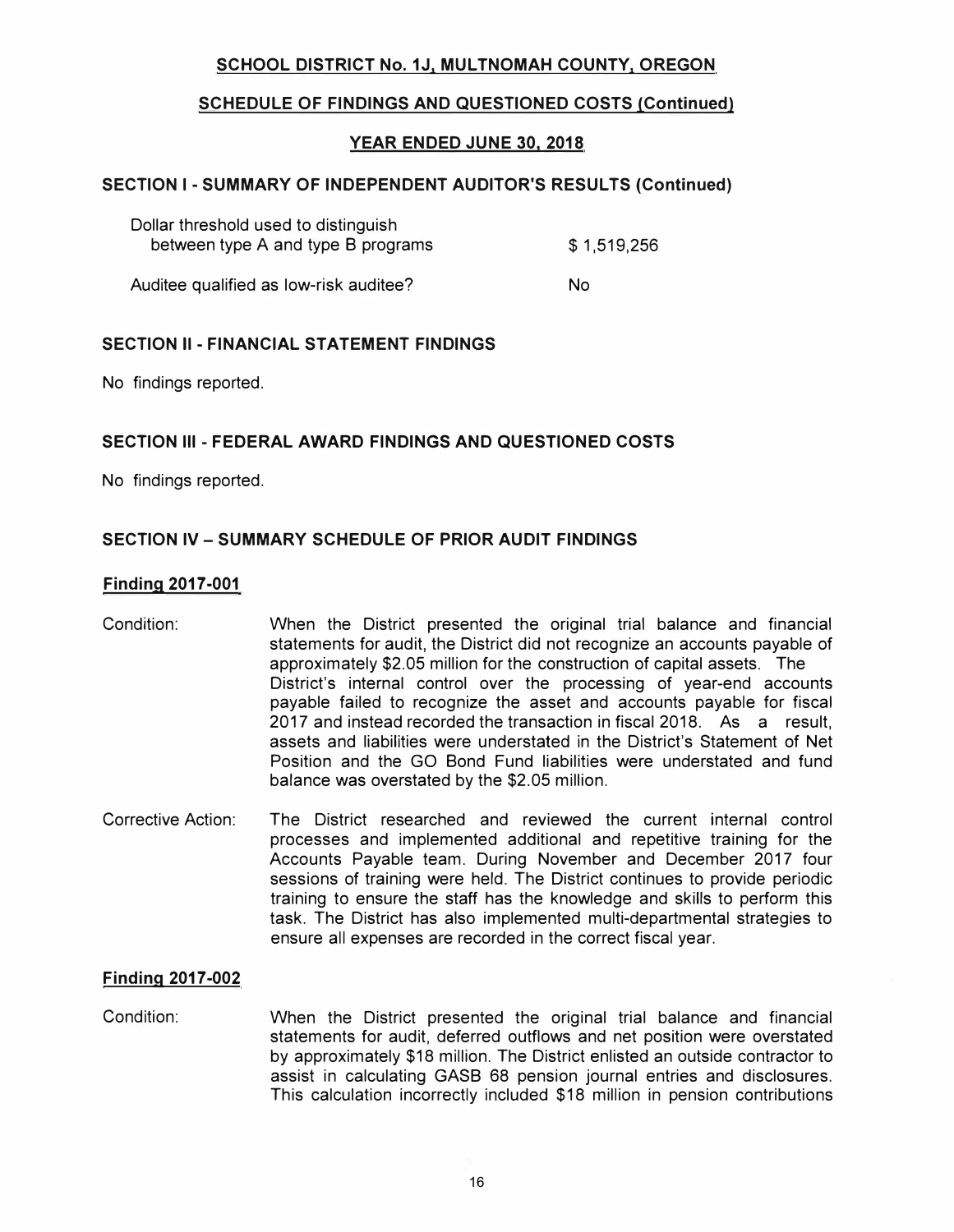# **SCHOOL DISTRICT No. 1J, MULTNOMAH COUNTY, OREGON**

# **SCHEDULE OF FINDINGS AND QUESTIONED COSTS (Continued)**

# **YEAR ENDED JUNE 30, 2018**

## **SECTION I - SUMMARY OF INDEPENDENT AUDITOR'S RESULTS (Continued)**

| Dollar threshold used to distinguish<br>between type A and type B programs | \$1,519,256 |
|----------------------------------------------------------------------------|-------------|
| Auditee qualified as low-risk auditee?                                     | No.         |

## **SECTION II - FINANCIAL STATEMENT FINDINGS**

No findings reported.

## **SECTION Ill - FEDERAL AWARD FINDINGS AND QUESTIONED COSTS**

No findings reported.

## **SECTION IV - SUMMARY SCHEDULE OF PRIOR AUDIT FINDINGS**

#### **Finding 2017-001**

- Condition: When the District presented the original trial balance and financial statements for audit, the District did not recognize an accounts payable of approximately \$2.05 million for the construction of capital assets. The District's internal control over the processing of year-end accounts payable failed to recognize the asset and accounts payable for fiscal 2017 and instead recorded the transaction in fiscal 2018. As a result, assets and liabilities were understated in the District's Statement of Net Position and the GO Bond Fund liabilities were understated and fund balance was overstated by the \$2.05 million.
- Corrective Action: The District researched and reviewed the current internal control processes and implemented additional and repetitive training for the Accounts Payable team. During November and December 2017 four sessions of training were held. The District continues to provide periodic training to ensure the staff has the knowledge and skills to perform this task. The District has also implemented multi-departmental strategies to ensure all expenses are recorded in the correct fiscal year.

## **Finding 2017-002**

Condition: When the District presented the original trial balance and financial statements for audit, deferred outflows and net position were overstated by approximately \$18 million. The District enlisted an outside contractor to assist in calculating GASS 68 pension journal entries and disclosures. This calculation incorrectly included \$18 million in pension contributions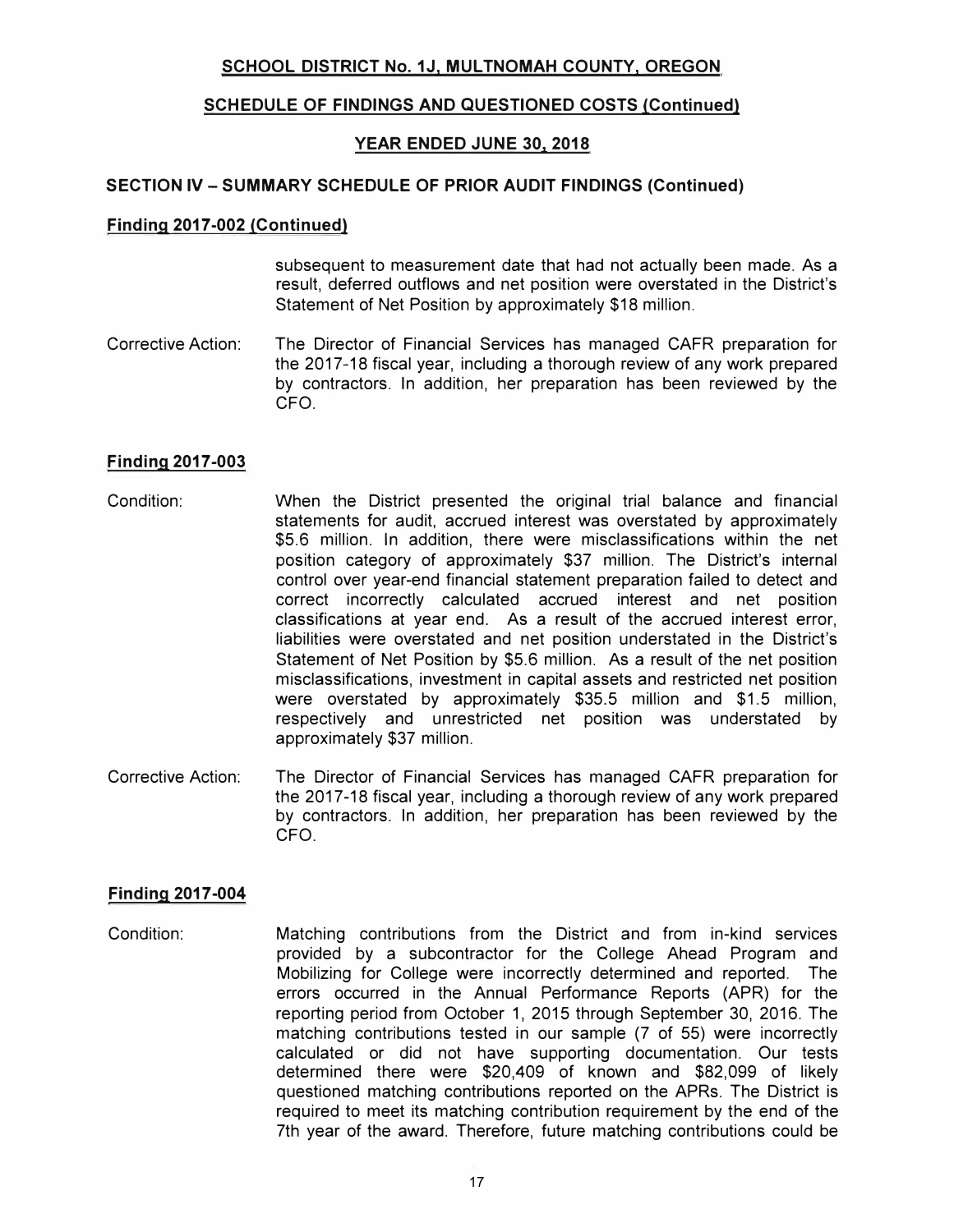# **SCHOOL DISTRICT No. 1J, MULTNOMAH COUNTY, OREGON**

# **SCHEDULE OF FINDINGS AND QUESTIONED COSTS (Continued)**

# **YEAR ENDED JUNE 30, 2018**

#### **SECTION IV - SUMMARY SCHEDULE OF PRIOR AUDIT FINDINGS (Continued)**

#### **Finding 2017-002 (Continued)**

subsequent to measurement date that had not actually been made. As a result, deferred outflows and net position were overstated in the District's Statement of Net Position by approximately \$18 million.

Corrective Action: The Director of Financial Services has managed CAFR preparation for the 2017-18 fiscal year, including a thorough review of any work prepared by contractors. In addition, her preparation has been reviewed by the CFO.

## **Finding 2017-003**

- Condition: When the District presented the original trial balance and financial statements for audit, accrued interest was overstated by approximately \$5.6 million. In addition, there were misclassifications within the net position category of approximately \$37 million. The District's internal control over year-end financial statement preparation failed to detect and correct incorrectly calculated accrued interest and net position classifications at year end. As a result of the accrued interest error, liabilities were overstated and net position understated in the District's Statement of Net Position by \$5.6 million. As a result of the net position misclassifications, investment in capital assets and restricted net position were overstated by approximately \$35.5 million and \$1.5 million, respectively and unrestricted net position was understated by approximately \$37 million.
- Corrective Action: The Director of Financial Services has managed CAFR preparation for the 2017-18 fiscal year, including a thorough review of any work prepared by contractors. In addition, her preparation has been reviewed by the CFO.

# **Finding 2017-004**

Condition: Matching contributions from the District and from in-kind services provided by a subcontractor for the College Ahead Program and Mobilizing for College were incorrectly determined and reported. The errors occurred in the Annual Performance Reports (APR) for the reporting period from October 1, 2015 through September 30, 2016. The matching contributions tested in our sample (7 of 55) were incorrectly calculated or did not have supporting documentation. Our tests determined there were \$20,409 of known and \$82,099 of likely questioned matching contributions reported on the APRs. The District is required to meet its matching contribution requirement by the end of the 7th year of the award. Therefore, future matching contributions could be